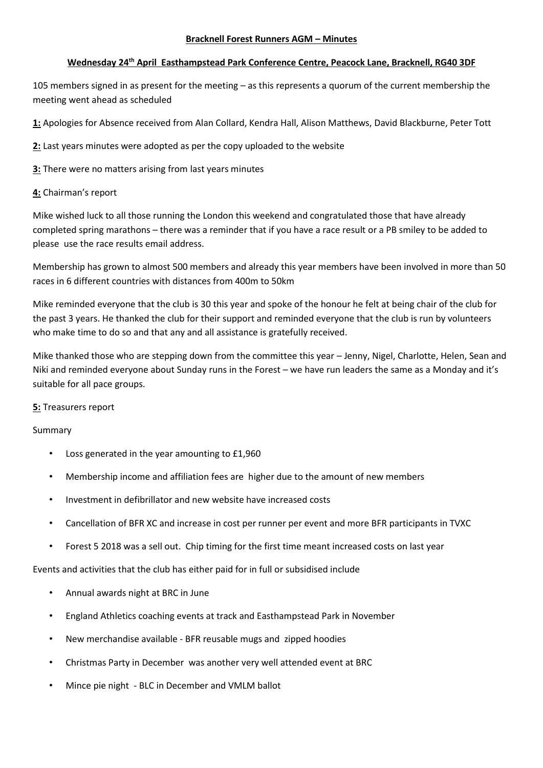#### **Bracknell Forest Runners AGM – Minutes**

### **Wednesday 24th April Easthampstead Park Conference Centre, Peacock Lane, Bracknell, RG40 3DF**

105 members signed in as present for the meeting – as this represents a quorum of the current membership the meeting went ahead as scheduled

**1:** Apologies for Absence received from Alan Collard, Kendra Hall, Alison Matthews, David Blackburne, Peter Tott

**2:** Last years minutes were adopted as per the copy uploaded to the website

**3:** There were no matters arising from last years minutes

#### **4:** Chairman's report

Mike wished luck to all those running the London this weekend and congratulated those that have already completed spring marathons – there was a reminder that if you have a race result or a PB smiley to be added to please use the race results email address.

Membership has grown to almost 500 members and already this year members have been involved in more than 50 races in 6 different countries with distances from 400m to 50km

Mike reminded everyone that the club is 30 this year and spoke of the honour he felt at being chair of the club for the past 3 years. He thanked the club for their support and reminded everyone that the club is run by volunteers who make time to do so and that any and all assistance is gratefully received.

Mike thanked those who are stepping down from the committee this year – Jenny, Nigel, Charlotte, Helen, Sean and Niki and reminded everyone about Sunday runs in the Forest – we have run leaders the same as a Monday and it's suitable for all pace groups.

### **5:** Treasurers report

### Summary

- Loss generated in the year amounting to £1,960
- Membership income and affiliation fees are higher due to the amount of new members
- Investment in defibrillator and new website have increased costs
- Cancellation of BFR XC and increase in cost per runner per event and more BFR participants in TVXC
- Forest 5 2018 was a sell out. Chip timing for the first time meant increased costs on last year

Events and activities that the club has either paid for in full or subsidised include

- Annual awards night at BRC in June
- England Athletics coaching events at track and Easthampstead Park in November
- New merchandise available BFR reusable mugs and zipped hoodies
- Christmas Party in December was another very well attended event at BRC
- Mince pie night BLC in December and VMLM ballot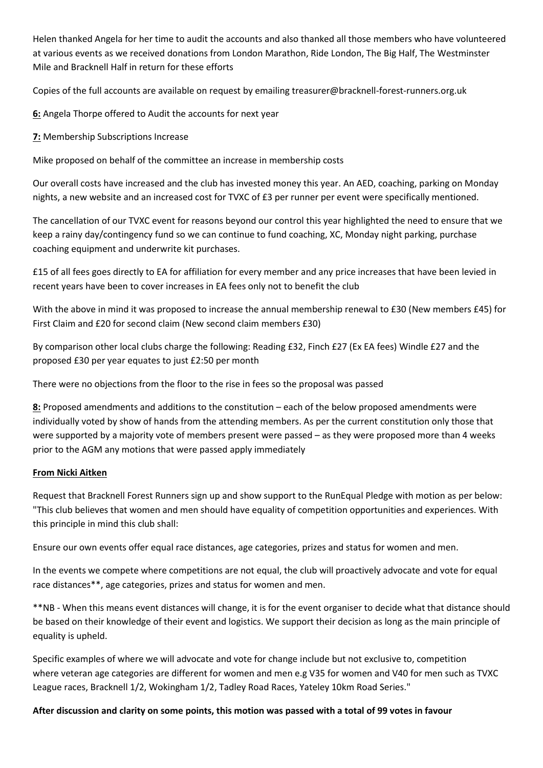Helen thanked Angela for her time to audit the accounts and also thanked all those members who have volunteered at various events as we received donations from London Marathon, Ride London, The Big Half, The Westminster Mile and Bracknell Half in return for these efforts

Copies of the full accounts are available on request by emailing treasurer@bracknell-forest-runners.org.uk

**6:** Angela Thorpe offered to Audit the accounts for next year

**7:** Membership Subscriptions Increase

Mike proposed on behalf of the committee an increase in membership costs

Our overall costs have increased and the club has invested money this year. An AED, coaching, parking on Monday nights, a new website and an increased cost for TVXC of £3 per runner per event were specifically mentioned.

The cancellation of our TVXC event for reasons beyond our control this year highlighted the need to ensure that we keep a rainy day/contingency fund so we can continue to fund coaching, XC, Monday night parking, purchase coaching equipment and underwrite kit purchases.

£15 of all fees goes directly to EA for affiliation for every member and any price increases that have been levied in recent years have been to cover increases in EA fees only not to benefit the club

With the above in mind it was proposed to increase the annual membership renewal to £30 (New members £45) for First Claim and £20 for second claim (New second claim members £30)

By comparison other local clubs charge the following: Reading £32, Finch £27 (Ex EA fees) Windle £27 and the proposed £30 per year equates to just £2:50 per month

There were no objections from the floor to the rise in fees so the proposal was passed

**8:** Proposed amendments and additions to the constitution – each of the below proposed amendments were individually voted by show of hands from the attending members. As per the current constitution only those that were supported by a majority vote of members present were passed – as they were proposed more than 4 weeks prior to the AGM any motions that were passed apply immediately

#### **From Nicki Aitken**

Request that Bracknell Forest Runners sign up and show support to the RunEqual Pledge with motion as per below: "This club believes that women and men should have equality of competition opportunities and experiences. With this principle in mind this club shall:

Ensure our own events offer equal race distances, age categories, prizes and status for women and men.

In the events we compete where competitions are not equal, the club will proactively advocate and vote for equal race distances\*\*, age categories, prizes and status for women and men.

\*\*NB - When this means event distances will change, it is for the event organiser to decide what that distance should be based on their knowledge of their event and logistics. We support their decision as long as the main principle of equality is upheld.

Specific examples of where we will advocate and vote for change include but not exclusive to, competition where veteran age categories are different for women and men e.g V35 for women and V40 for men such as TVXC League races, Bracknell 1/2, Wokingham 1/2, Tadley Road Races, Yateley 10km Road Series."

### **After discussion and clarity on some points, this motion was passed with a total of 99 votes in favour**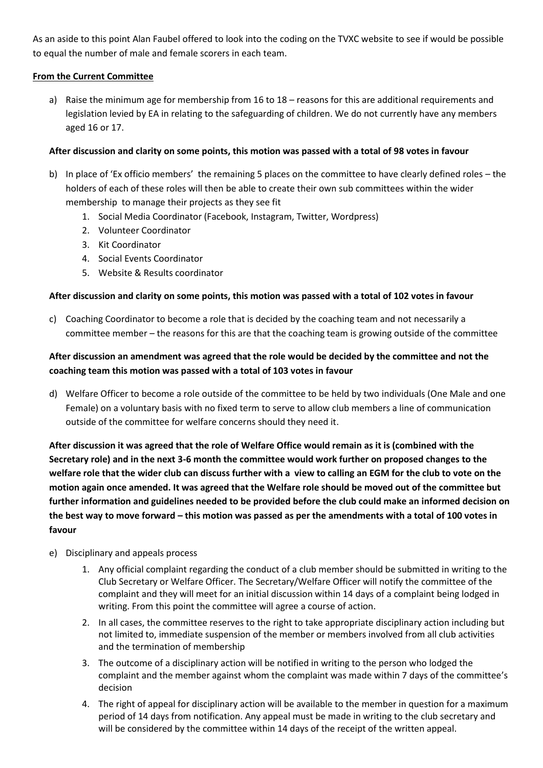As an aside to this point Alan Faubel offered to look into the coding on the TVXC website to see if would be possible to equal the number of male and female scorers in each team.

### **From the Current Committee**

a) Raise the minimum age for membership from 16 to 18 – reasons for this are additional requirements and legislation levied by EA in relating to the safeguarding of children. We do not currently have any members aged 16 or 17.

# **After discussion and clarity on some points, this motion was passed with a total of 98 votes in favour**

- b) In place of 'Ex officio members' the remaining 5 places on the committee to have clearly defined roles the holders of each of these roles will then be able to create their own sub committees within the wider membership to manage their projects as they see fit
	- 1. Social Media Coordinator (Facebook, Instagram, Twitter, Wordpress)
	- 2. Volunteer Coordinator
	- 3. Kit Coordinator
	- 4. Social Events Coordinator
	- 5. Website & Results coordinator

# **After discussion and clarity on some points, this motion was passed with a total of 102 votes in favour**

c) Coaching Coordinator to become a role that is decided by the coaching team and not necessarily a committee member – the reasons for this are that the coaching team is growing outside of the committee

# **After discussion an amendment was agreed that the role would be decided by the committee and not the coaching team this motion was passed with a total of 103 votes in favour**

d) Welfare Officer to become a role outside of the committee to be held by two individuals (One Male and one Female) on a voluntary basis with no fixed term to serve to allow club members a line of communication outside of the committee for welfare concerns should they need it.

**After discussion it was agreed that the role of Welfare Office would remain as it is (combined with the Secretary role) and in the next 3-6 month the committee would work further on proposed changes to the welfare role that the wider club can discuss further with a view to calling an EGM for the club to vote on the motion again once amended. It was agreed that the Welfare role should be moved out of the committee but further information and guidelines needed to be provided before the club could make an informed decision on the best way to move forward – this motion was passed as per the amendments with a total of 100 votes in favour**

- e) Disciplinary and appeals process
	- 1. Any official complaint regarding the conduct of a club member should be submitted in writing to the Club Secretary or Welfare Officer. The Secretary/Welfare Officer will notify the committee of the complaint and they will meet for an initial discussion within 14 days of a complaint being lodged in writing. From this point the committee will agree a course of action.
	- 2. In all cases, the committee reserves to the right to take appropriate disciplinary action including but not limited to, immediate suspension of the member or members involved from all club activities and the termination of membership
	- 3. The outcome of a disciplinary action will be notified in writing to the person who lodged the complaint and the member against whom the complaint was made within 7 days of the committee's decision
	- 4. The right of appeal for disciplinary action will be available to the member in question for a maximum period of 14 days from notification. Any appeal must be made in writing to the club secretary and will be considered by the committee within 14 days of the receipt of the written appeal.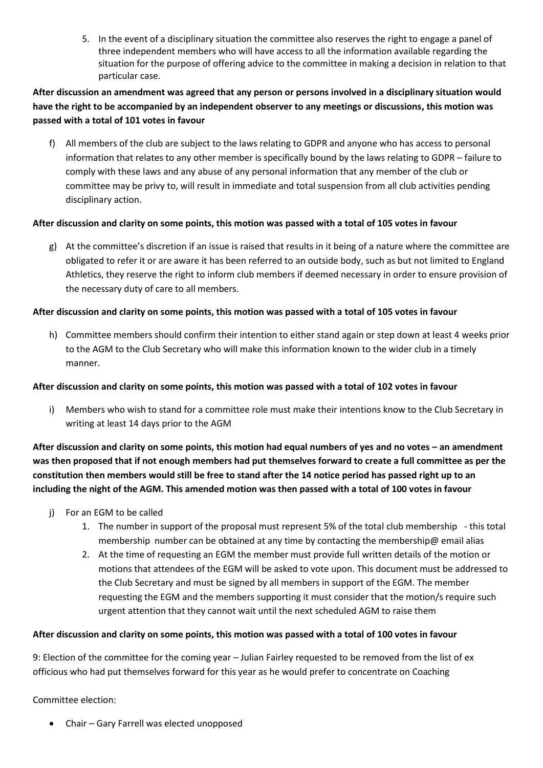5. In the event of a disciplinary situation the committee also reserves the right to engage a panel of three independent members who will have access to all the information available regarding the situation for the purpose of offering advice to the committee in making a decision in relation to that particular case.

# **After discussion an amendment was agreed that any person or persons involved in a disciplinary situation would have the right to be accompanied by an independent observer to any meetings or discussions, this motion was passed with a total of 101 votes in favour**

f) All members of the club are subject to the laws relating to GDPR and anyone who has access to personal information that relates to any other member is specifically bound by the laws relating to GDPR – failure to comply with these laws and any abuse of any personal information that any member of the club or committee may be privy to, will result in immediate and total suspension from all club activities pending disciplinary action.

# **After discussion and clarity on some points, this motion was passed with a total of 105 votes in favour**

g) At the committee's discretion if an issue is raised that results in it being of a nature where the committee are obligated to refer it or are aware it has been referred to an outside body, such as but not limited to England Athletics, they reserve the right to inform club members if deemed necessary in order to ensure provision of the necessary duty of care to all members.

# **After discussion and clarity on some points, this motion was passed with a total of 105 votes in favour**

h) Committee members should confirm their intention to either stand again or step down at least 4 weeks prior to the AGM to the Club Secretary who will make this information known to the wider club in a timely manner.

# **After discussion and clarity on some points, this motion was passed with a total of 102 votes in favour**

i) Members who wish to stand for a committee role must make their intentions know to the Club Secretary in writing at least 14 days prior to the AGM

**After discussion and clarity on some points, this motion had equal numbers of yes and no votes – an amendment was then proposed that if not enough members had put themselves forward to create a full committee as per the constitution then members would still be free to stand after the 14 notice period has passed right up to an including the night of the AGM. This amended motion was then passed with a total of 100 votes in favour**

- j) For an EGM to be called
	- 1. The number in support of the proposal must represent 5% of the total club membership this total membership number can be obtained at any time by contacting the membership@ email alias
	- 2. At the time of requesting an EGM the member must provide full written details of the motion or motions that attendees of the EGM will be asked to vote upon. This document must be addressed to the Club Secretary and must be signed by all members in support of the EGM. The member requesting the EGM and the members supporting it must consider that the motion/s require such urgent attention that they cannot wait until the next scheduled AGM to raise them

### **After discussion and clarity on some points, this motion was passed with a total of 100 votes in favour**

9: Election of the committee for the coming year – Julian Fairley requested to be removed from the list of ex officious who had put themselves forward for this year as he would prefer to concentrate on Coaching

Committee election:

• Chair – Gary Farrell was elected unopposed